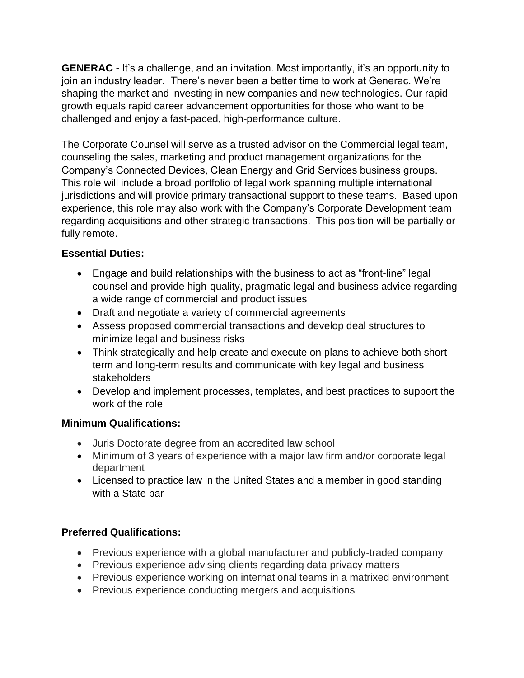**GENERAC** - It's a challenge, and an invitation. Most importantly, it's an opportunity to join an industry leader. There's never been a better time to work at Generac. We're shaping the market and investing in new companies and new technologies. Our rapid growth equals rapid career advancement opportunities for those who want to be challenged and enjoy a fast-paced, high-performance culture.

The Corporate Counsel will serve as a trusted advisor on the Commercial legal team, counseling the sales, marketing and product management organizations for the Company's Connected Devices, Clean Energy and Grid Services business groups. This role will include a broad portfolio of legal work spanning multiple international jurisdictions and will provide primary transactional support to these teams. Based upon experience, this role may also work with the Company's Corporate Development team regarding acquisitions and other strategic transactions. This position will be partially or fully remote.

## **Essential Duties:**

- Engage and build relationships with the business to act as "front-line" legal counsel and provide high-quality, pragmatic legal and business advice regarding a wide range of commercial and product issues
- Draft and negotiate a variety of commercial agreements
- Assess proposed commercial transactions and develop deal structures to minimize legal and business risks
- Think strategically and help create and execute on plans to achieve both shortterm and long-term results and communicate with key legal and business stakeholders
- Develop and implement processes, templates, and best practices to support the work of the role

## **Minimum Qualifications:**

- Juris Doctorate degree from an accredited law school
- Minimum of 3 years of experience with a major law firm and/or corporate legal department
- Licensed to practice law in the United States and a member in good standing with a State bar

## **Preferred Qualifications:**

- Previous experience with a global manufacturer and publicly-traded company
- Previous experience advising clients regarding data privacy matters
- Previous experience working on international teams in a matrixed environment
- Previous experience conducting mergers and acquisitions